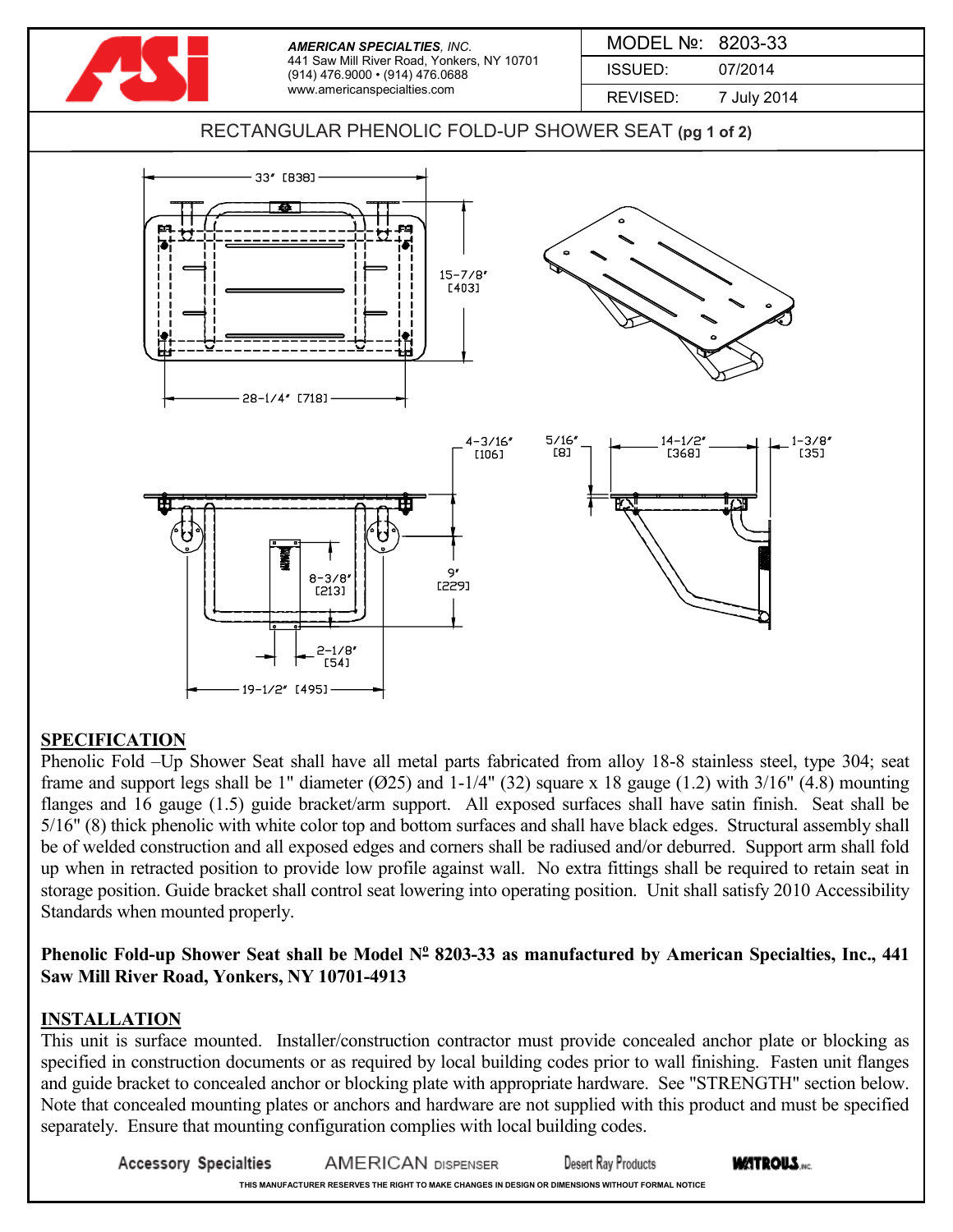

## **SPECIFICATION**

Phenolic Fold –Up Shower Seat shall have all metal parts fabricated from alloy 18-8 stainless steel, type 304; seat frame and support legs shall be 1" diameter  $(025)$  and 1-1/4"  $(32)$  square x 18 gauge  $(1.2)$  with  $3/16$ "  $(4.8)$  mounting flanges and 16 gauge (1.5) guide bracket/arm support. All exposed surfaces shall have satin finish. Seat shall be 5/16" (8) thick phenolic with white color top and bottom surfaces and shall have black edges. Structural assembly shall be of welded construction and all exposed edges and corners shall be radiused and/or deburred. Support arm shall fold up when in retracted position to provide low profile against wall. No extra fittings shall be required to retain seat in storage position. Guide bracket shall control seat lowering into operating position. Unit shall satisfy 2010 Accessibility Standards when mounted properly.

## **Phenolic Fold-up Shower Seat shall be Model N<sup>o</sup> 8203-33 as manufactured by American Specialties, Inc., 441 Saw Mill River Road, Yonkers, NY 10701-4913**

## **INSTALLATION**

This unit is surface mounted. Installer/construction contractor must provide concealed anchor plate or blocking as specified in construction documents or as required by local building codes prior to wall finishing. Fasten unit flanges and guide bracket to concealed anchor or blocking plate with appropriate hardware. See "STRENGTH" section below. Note that concealed mounting plates or anchors and hardware are not supplied with this product and must be specified separately. Ensure that mounting configuration complies with local building codes.

**Accessory Specialties WATROUS.**NC. **AMERICAN DISPENSER** Desert Ray Products **THIS MANUFACTURER RESERVES THE RIGHT TO MAKE CHANGES IN DESIGN OR DIMENSIONS WITHOUT FORMAL NOTICE**